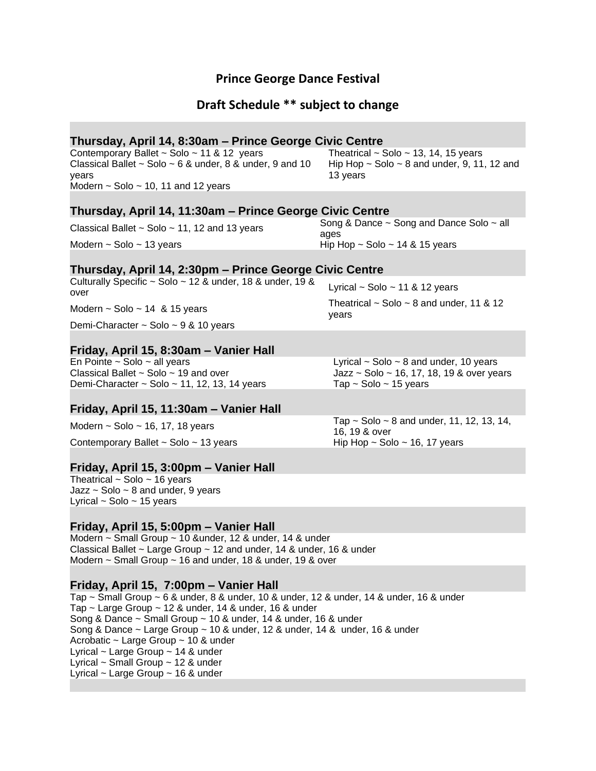# **Prince George Dance Festival**

# **Draft Schedule \*\* subject to change**

# **Thursday, April 14, 8:30am – Prince George Civic Centre**

Contemporary Ballet ~ Solo ~ 11 & 12 years Classical Ballet  $\sim$  Solo  $\sim$  6 & under, 8 & under, 9 and 10 years Modern  $\sim$  Solo  $\sim$  10, 11 and 12 years

Hip Hop  $\sim$  Solo  $\sim$  8 and under, 9, 11, 12 and 13 years

# **Thursday, April 14, 11:30am – Prince George Civic Centre**

Classical Ballet ~ Solo ~ 11, 12 and 13 years Song & Dance ~ Song and Dance Solo ~ all ages Modern  $\sim$  Solo  $\sim$  13 years Hip Hop  $\sim$  Solo  $\sim$  14 & 15 years

### **Thursday, April 14, 2:30pm – Prince George Civic Centre**

Culturally Specific  $\sim$  Solo  $\sim$  12 & under, 18 & under, 19 & over Lyrical  $\sim$  Solo  $\sim$  11 & 12 years Modern  $\sim$  Solo  $\sim$  14 & 15 years Theatrical  $\sim$  Solo  $\sim$  8 and under, 11 & 12

years

Demi-Character ~ Solo ~ 9 & 10 years

### **Friday, April 15, 8:30am – Vanier Hall**

En Pointe ~ Solo ~ all years Lyrical ~ Solo ~ 8 and under, 10 years Classical Ballet  $\sim$  Solo  $\sim$  19 and over  $\sim$  Jazz  $\sim$  Solo  $\sim$  16, 17, 18, 19 & over years Demi-Character  $\sim$  Solo  $\sim$  11, 12, 13, 14 years Tap  $\sim$  Solo  $\sim$  15 years

# **Friday, April 15, 11:30am – Vanier Hall**

Contemporary Ballet  $\sim$  Solo  $\sim$  13 years Hip Hop  $\sim$  Solo  $\sim$  16, 17 years

### **Friday, April 15, 3:00pm – Vanier Hall**

Theatrical  $\sim$  Solo  $\sim$  16 years Jazz  $\sim$  Solo  $\sim$  8 and under, 9 years Lyrical  $\sim$  Solo  $\sim$  15 years

# **Friday, April 15, 5:00pm – Vanier Hall**

Modern ~ Small Group ~ 10 &under, 12 & under, 14 & under Classical Ballet ~ Large Group ~ 12 and under, 14 & under, 16 & under Modern ~ Small Group ~ 16 and under, 18 & under, 19 & over

# **Friday, April 15, 7:00pm – Vanier Hall**

Tap ~ Small Group ~ 6 & under, 8 & under, 10 & under, 12 & under, 14 & under, 16 & under Tap  $\sim$  Large Group  $\sim$  12 & under, 14 & under, 16 & under Song & Dance ~ Small Group ~ 10 & under, 14 & under, 16 & under Song & Dance  $\sim$  Large Group  $\sim$  10 & under, 12 & under, 14 & under, 16 & under Acrobatic ~ Large Group ~ 10 & under Lyrical ~ Large Group ~ 14 & under Lyrical  $\sim$  Small Group  $\sim$  12 & under Lyrical  $\sim$  Large Group  $\sim$  16 & under

Modern  $\sim$  Solo  $\sim$  16, 17, 18 years Tap  $\sim$  Solo  $\sim$  8 and under, 11, 12, 13, 14, 16, 19 & over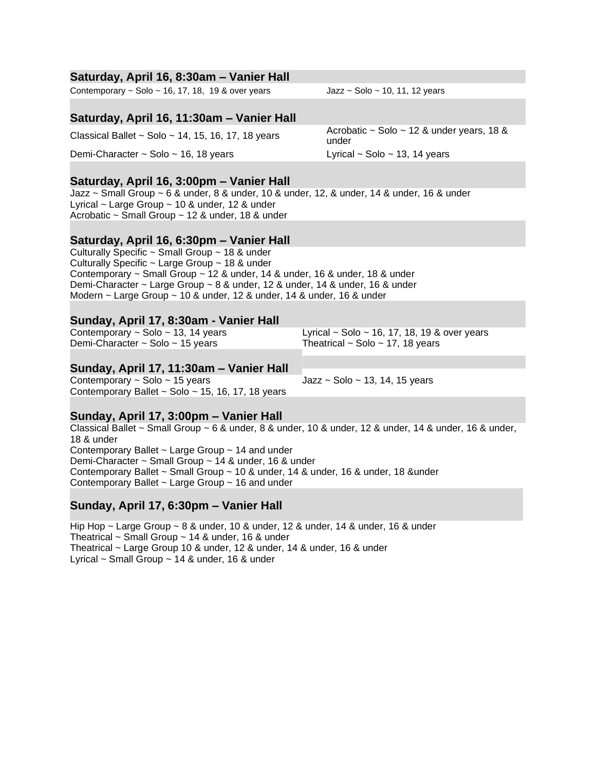# **Saturday, April 16, 8:30am – Vanier Hall**

Contemporary  $\sim$  Solo  $\sim$  16, 17, 18, 19 & over years Jazz  $\sim$  Solo  $\sim$  10, 11, 12 years

# **Saturday, April 16, 11:30am – Vanier Hall**

Demi-Character ~ Solo ~ 16, 18 years Lyrical ~ Solo ~ 13, 14 years

# **Saturday, April 16, 3:00pm – Vanier Hall**

Jazz ~ Small Group ~ 6 & under, 8 & under, 10 & under, 12, & under, 14 & under, 16 & under Lyrical  $\sim$  Large Group  $\sim$  10 & under, 12 & under Acrobatic ~ Small Group ~ 12 & under, 18 & under

# **Saturday, April 16, 6:30pm – Vanier Hall**

Culturally Specific ~ Small Group ~ 18 & under Culturally Specific ~ Large Group ~ 18 & under Contemporary ~ Small Group ~ 12 & under, 14 & under, 16 & under, 18 & under Demi-Character ~ Large Group ~ 8 & under, 12 & under, 14 & under, 16 & under Modern  $\sim$  Large Group  $\sim$  10 & under, 12 & under, 14 & under, 16 & under

### **Sunday, April 17, 8:30am - Vanier Hall**

Demi-Character ~ Solo ~ 15 years Theatrical ~ Solo ~ 17, 18 years

Contemporary  $\sim$  Solo  $\sim$  13, 14 years Lyrical  $\sim$  Solo  $\sim$  16, 17, 18, 19 & over years

# **Sunday, April 17, 11:30am – Vanier Hall**

Contemporary  $\sim$  Solo  $\sim$  15 years Jazz  $\sim$  Solo  $\sim$  13, 14, 15 years Contemporary Ballet  $\sim$  Solo  $\sim$  15, 16, 17, 18 years

### **Sunday, April 17, 3:00pm – Vanier Hall**

Classical Ballet ~ Small Group ~ 6 & under, 8 & under, 10 & under, 12 & under, 14 & under, 16 & under, 18 & under Contemporary Ballet ~ Large Group ~ 14 and under Demi-Character ~ Small Group ~ 14 & under, 16 & under Contemporary Ballet ~ Small Group ~ 10 & under, 14 & under, 16 & under, 18 &under Contemporary Ballet ~ Large Group ~ 16 and under

# **Sunday, April 17, 6:30pm – Vanier Hall**

Hip Hop ~ Large Group ~ 8 & under, 10 & under, 12 & under, 14 & under, 16 & under Theatrical ~ Small Group ~ 14 & under, 16 & under Theatrical ~ Large Group 10 & under, 12 & under, 14 & under, 16 & under Lyrical  $\sim$  Small Group  $\sim$  14 & under, 16 & under

Classical Ballet ~ Solo ~ 14, 15, 16, 17, 18 years Acrobatic ~ Solo ~ 12 & under years, 18 & under